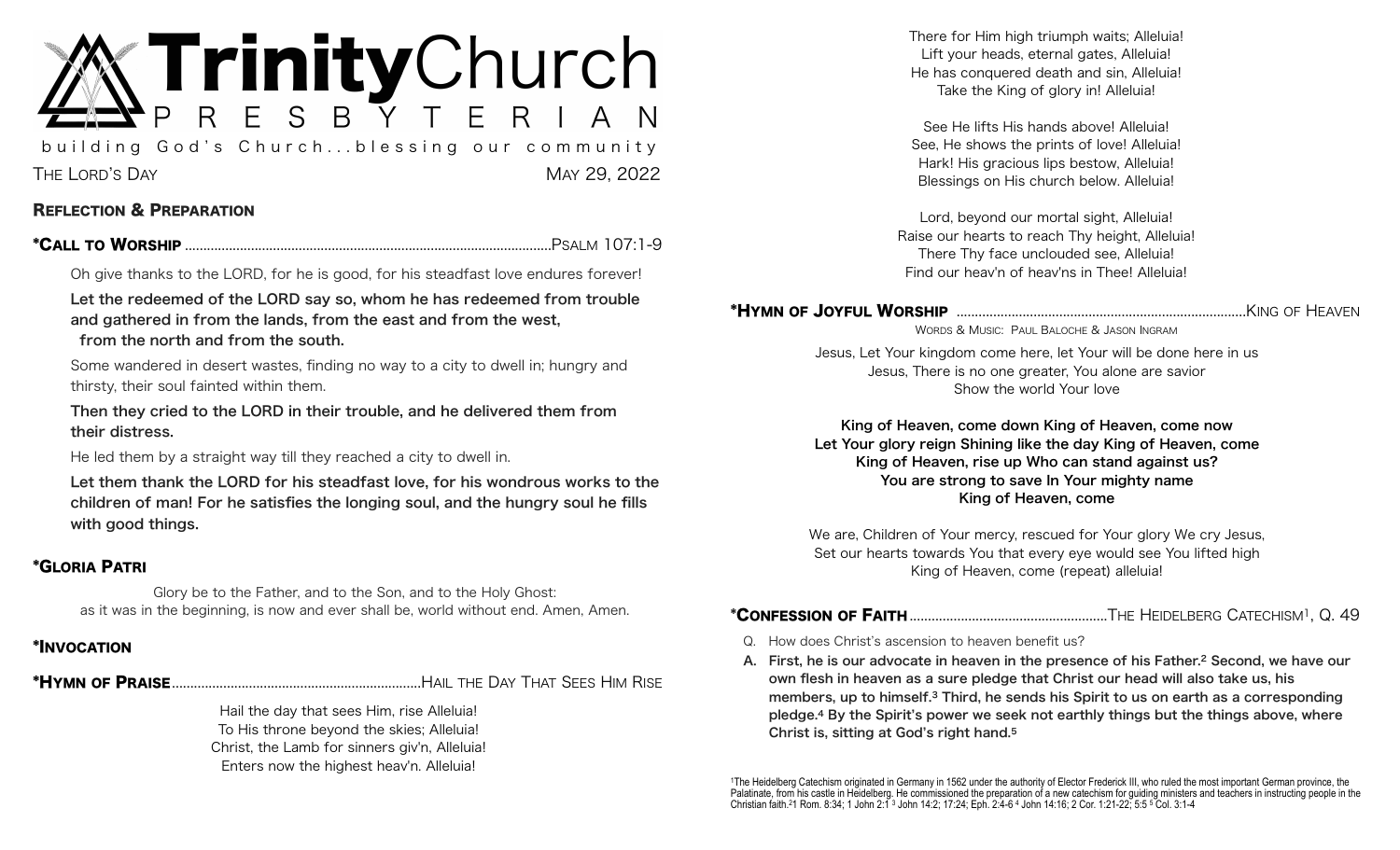# **Trinity**Church

building God's Church...blessing our community THE LORD'S DAY MAY 29, 2022

### REFLECTION & PREPARATION

\*CALL TO WORSHIP P .................................................................................................... SALM 107:1-9

Oh give thanks to the LORD, for he is good, for his steadfast love endures forever!

Let the redeemed of the LORD say so, whom he has redeemed from trouble and gathered in from the lands, from the east and from the west,

from the north and from the south.

Some wandered in desert wastes, finding no way to a city to dwell in; hungry and thirsty, their soul fainted within them.

Then they cried to the LORD in their trouble, and he delivered them from their distress.

He led them by a straight way till they reached a city to dwell in.

Let them thank the LORD for his steadfast love, for his wondrous works to the children of man! For he satisfies the longing soul, and the hungry soul he fills with good things.

### \*GLORIA PATRI

Glory be to the Father, and to the Son, and to the Holy Ghost: as it was in the beginning, is now and ever shall be, world without end. Amen, Amen.

### \*INVOCATION

\*HYMN OF PRAISE H .................................................................... AIL THE DAY THAT SEES HIM RISE

Hail the day that sees Him, rise Alleluia! To His throne beyond the skies; Alleluia! Christ, the Lamb for sinners giv'n, Alleluia! Enters now the highest heav'n. Alleluia!

There for Him high triumph waits; Alleluia! Lift your heads, eternal gates, Alleluia! He has conquered death and sin, Alleluia! Take the King of glory in! Alleluia!

See He lifts His hands above! Alleluia! See, He shows the prints of love! Alleluia! Hark! His gracious lips bestow, Alleluia! Blessings on His church below. Alleluia!

Lord, beyond our mortal sight, Alleluia! Raise our hearts to reach Thy height, Alleluia! There Thy face unclouded see, Alleluia! Find our heav'n of heav'ns in Thee! Alleluia!

### \*HYMN OF JOYFUL WORSHIP K ............................................................................... ING OF HEAVEN

WORDS & MUSIC: PAUL BALOCHE & JASON INGRAM

Jesus, Let Your kingdom come here, let Your will be done here in us Jesus, There is no one greater, You alone are savior Show the world Your love

King of Heaven, come down King of Heaven, come now Let Your glory reign Shining like the day King of Heaven, come King of Heaven, rise up Who can stand against us? You are strong to save In Your mighty name King of Heaven, come

We are, Children of Your mercy, rescued for Your glory We cry Jesus, Set our hearts towards You that every eye would see You lifted high King of Heaven, come (repeat) alleluia!

### \*CONFESSION OF FAITH ..THE HEIDELBERG CATECHISM1 .................................................... , Q. 49

- Q. How does Christ's ascension to heaven benefit us?
- A. First, he is our advocate in heaven in the presence of his Father.2 Second, we have our own flesh in heaven as a sure pledge that Christ our head will also take us, his members, up to himself.3 Third, he sends his Spirit to us on earth as a corresponding pledge.4 By the Spirit's power we seek not earthly things but the things above, where Christ is, sitting at God's right hand.5

1The Heidelberg Catechism originated in Germany in 1562 under the authority of Elector Frederick III, who ruled the most important German province, the Palatinate, from his castle in Heidelberg. He commissioned the preparation of a new catechism for guiding ministers and teachers in instructing people in the Christian faith.21 Rom. 8:34; 1 John 2:1 3 John 14:2; 17:24; Eph. 2:4-6 4 John 14:16; 2 Cor. 1:21-22; 5:5 5 Col. 3:1-4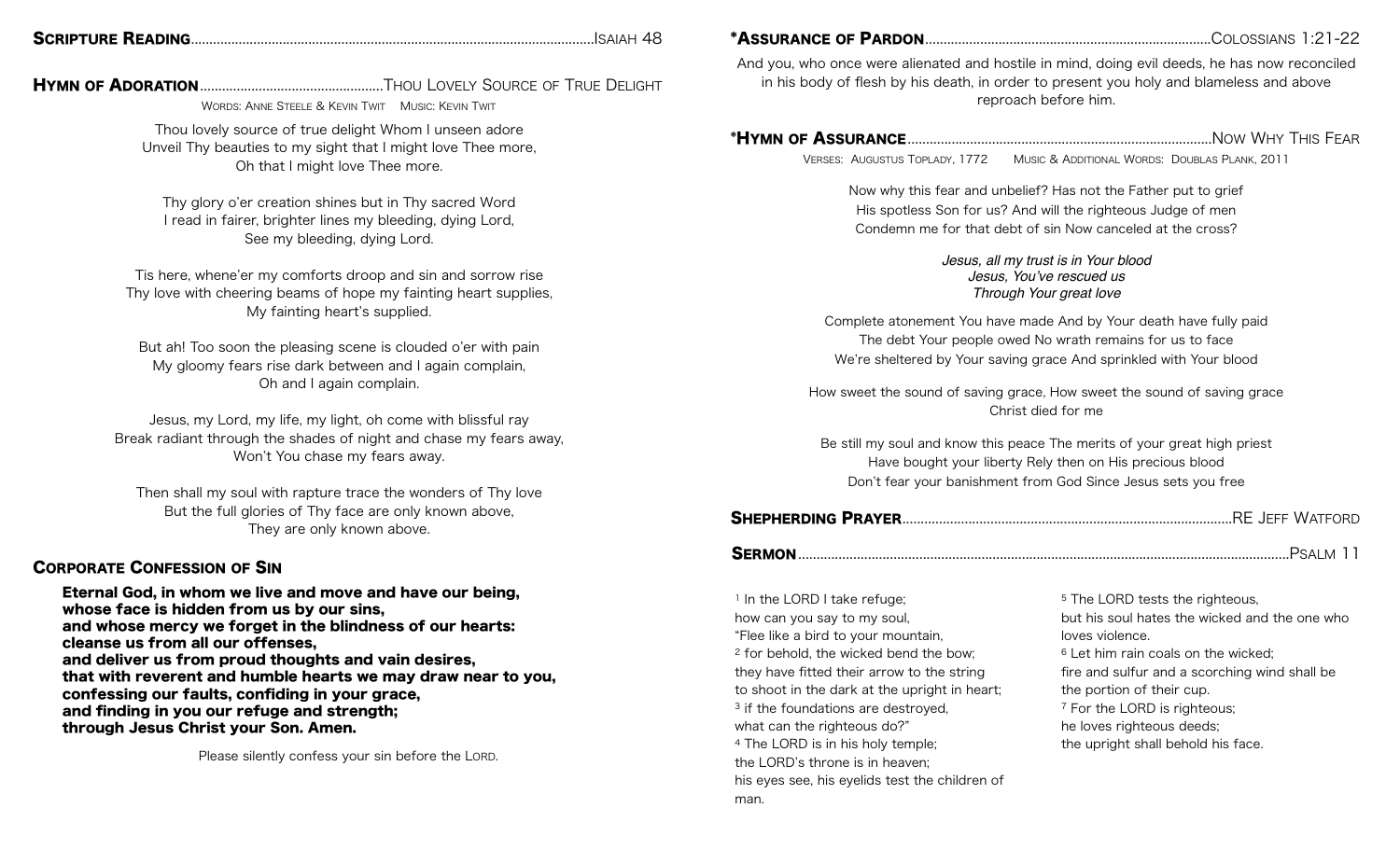|--|--|

SCRIPTURE READING ..I ............................................................................................................ SAIAH 48

HYMN OF ADORATION T .................................................. HOU LOVELY SOURCE OF TRUE DELIGHT

WORDS: ANNE STEELE & KEVIN TWIT MUSIC: KEVIN TWIT

Thou lovely source of true delight Whom I unseen adore Unveil Thy beauties to my sight that I might love Thee more, Oh that I might love Thee more.

Thy glory o'er creation shines but in Thy sacred Word I read in fairer, brighter lines my bleeding, dying Lord, See my bleeding, dying Lord.

Tis here, whene'er my comforts droop and sin and sorrow rise Thy love with cheering beams of hope my fainting heart supplies, My fainting heart's supplied.

But ah! Too soon the pleasing scene is clouded o'er with pain My gloomy fears rise dark between and I again complain, Oh and I again complain.

Jesus, my Lord, my life, my light, oh come with blissful ray Break radiant through the shades of night and chase my fears away, Won't You chase my fears away.

Then shall my soul with rapture trace the wonders of Thy love But the full glories of Thy face are only known above, They are only known above.

### CORPORATE CONFESSION OF SIN

Eternal God, in whom we live and move and have our being, whose face is hidden from us by our sins, and whose mercy we forget in the blindness of our hearts: cleanse us from all our offenses, and deliver us from proud thoughts and vain desires, that with reverent and humble hearts we may draw near to you, confessing our faults, confiding in your grace, and finding in you our refuge and strength; through Jesus Christ your Son. Amen.

Please silently confess your sin before the LORD.

\*ASSURANCE OF PARDON C .............................................................................. OLOSSIANS 1:21-22

And you, who once were alienated and hostile in mind, doing evil deeds, he has now reconciled in his body of flesh by his death, in order to present you holy and blameless and above reproach before him.

\*HYMN OF ASSURANCE N ................................................................................... OW WHY THIS FEAR

VERSES: AUGUSTUS TOPLADY, 1772 MUSIC & ADDITIONAL WORDS: DOUBLAS PLANK, 2011

Now why this fear and unbelief? Has not the Father put to grief His spotless Son for us? And will the righteous Judge of men Condemn me for that debt of sin Now canceled at the cross?

> *Jesus, all my trust is in Your blood Jesus, You've rescued us Through Your great love*

Complete atonement You have made And by Your death have fully paid The debt Your people owed No wrath remains for us to face We're sheltered by Your saving grace And sprinkled with Your blood

How sweet the sound of saving grace, How sweet the sound of saving grace Christ died for me

Be still my soul and know this peace The merits of your great high priest Have bought your liberty Rely then on His precious blood Don't fear your banishment from God Since Jesus sets you free

|--|--|

<sup>1</sup> In the LORD I take refuge; how can you say to my soul, "Flee like a bird to your mountain, 2 for behold, the wicked bend the bow; they have fitted their arrow to the string to shoot in the dark at the upright in heart; <sup>3</sup> if the foundations are destroyed, what can the righteous do?" 4 The LORD is in his holy temple; the LORD's throne is in heaven; his eyes see, his eyelids test the children of man.

<sup>5</sup> The LORD tests the righteous. but his soul hates the wicked and the one who loves violence. 6 Let him rain coals on the wicked; fire and sulfur and a scorching wind shall be the portion of their cup. 7 For the LORD is righteous; he loves righteous deeds; the upright shall behold his face.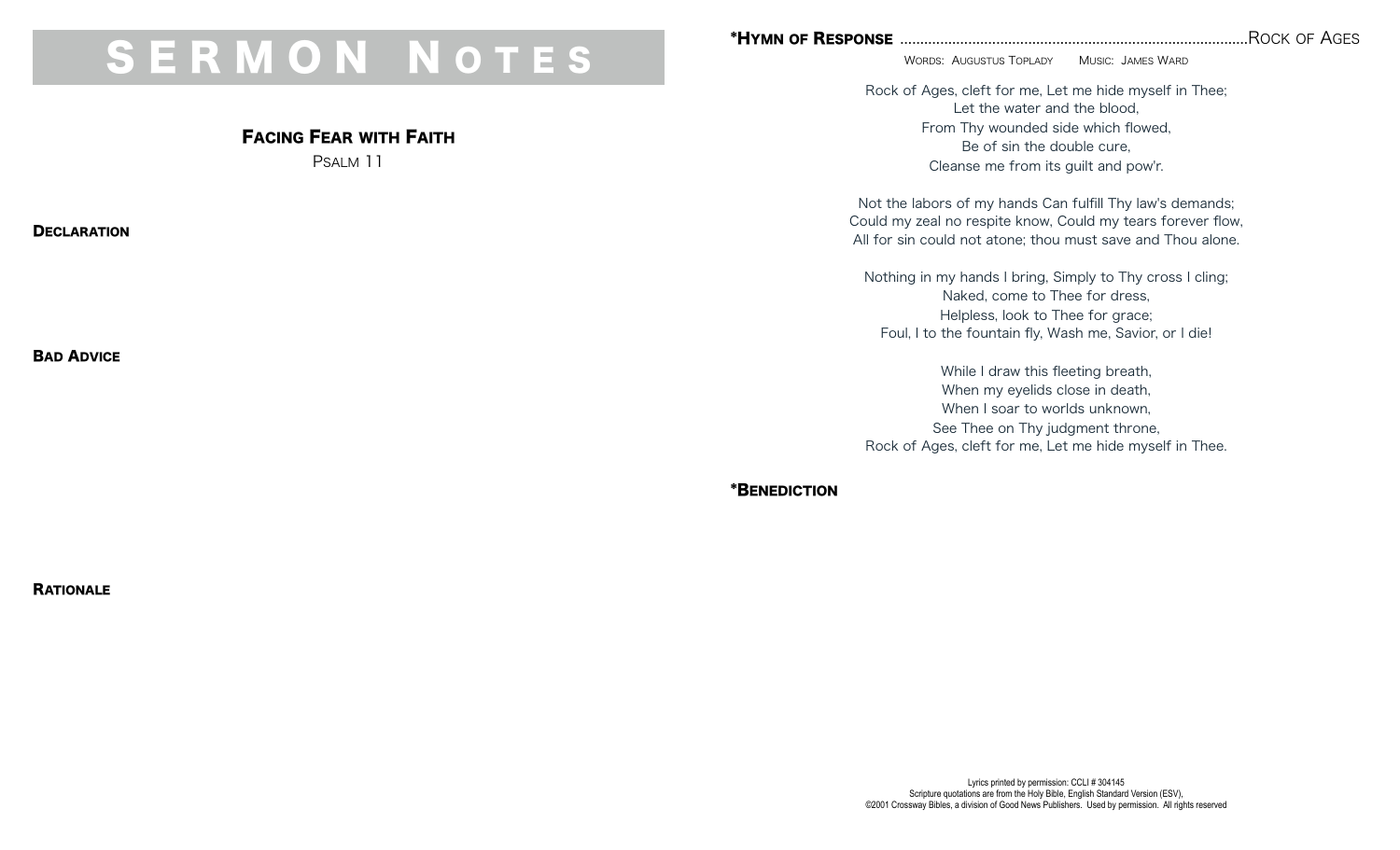## S E R M O N N O T E S

### FACING FEAR WITH FAITH

PSALM 11

**DECLARATION** 

BAD ADVICE

### \*HYMN OF RESPONSE R ....................................................................................... OCK OF AGES

WORDS: AUGUSTUS TOPLADY MUSIC: JAMES WARD

Rock of Ages, cleft for me, Let me hide myself in Thee; Let the water and the blood, From Thy wounded side which flowed, Be of sin the double cure, Cleanse me from its guilt and pow'r.

Not the labors of my hands Can fulfill Thy law's demands; Could my zeal no respite know, Could my tears forever flow, All for sin could not atone; thou must save and Thou alone.

Nothing in my hands I bring, Simply to Thy cross I cling; Naked, come to Thee for dress, Helpless, look to Thee for grace; Foul, I to the fountain fly, Wash me, Savior, or I die!

While I draw this fleeting breath, When my eyelids close in death, When I soar to worlds unknown. See Thee on Thy judgment throne, Rock of Ages, cleft for me, Let me hide myself in Thee.

\*BENEDICTION

**RATIONALE** 

Lyrics printed by permission: CCLI # 304145 Scripture quotations are from the Holy Bible, English Standard Version (ESV), ©2001 Crossway Bibles, a division of Good News Publishers. Used by permission. All rights reserved